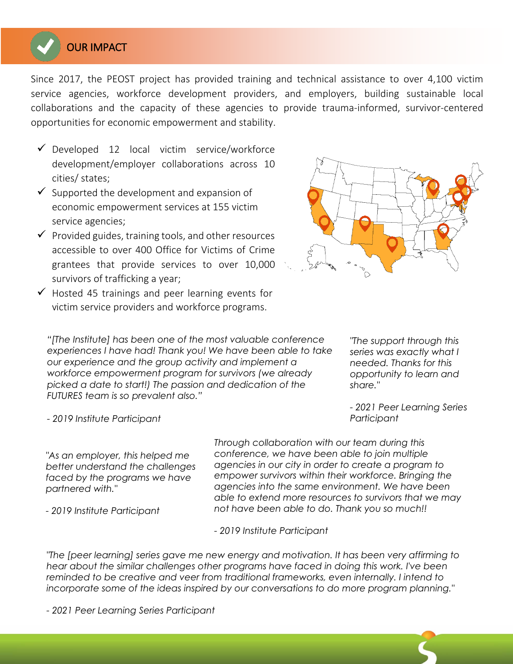

Since 2017, the PEOST project has provided training and technical assistance to over 4,100 victim service agencies, workforce development providers, and employers, building sustainable local collaborations and the capacity of these agencies to provide trauma-informed, survivor-centered opportunities for economic empowerment and stability.

- $\checkmark$  Developed 12 local victim service/workforce development/employer collaborations across 10 cities/ states;
- $\checkmark$  Supported the development and expansion of economic empowerment services at 155 victim service agencies;
- $\checkmark$  Provided guides, training tools, and other resources accessible to over 400 Office for Victims of Crime grantees that provide services to over 10,000 survivors of trafficking a year;
- $\checkmark$  Hosted 45 trainings and peer learning events for v ictim service providers and workforce programs.



*"[The Institute] has been one of the most valuable conference experiences I have had! Thank you! We have been able to take our experience and the group activity and implement a workforce empowerment program for survivors (we already picked a date to start!) The passion and dedication of the FUTURES team is so prevalent also."* 

*"The support through this series was exactly what I needed. Thanks for this opportunity to learn and share."*

*- 2021 Peer Learning Series Participant*

*- 2019 Institute Participant* 

*"As an employer, this helped me better understand the challenges faced by the programs we have partnered with."*

*Through collaboration with our team during this conference, we have been able to join multiple agencies in our city in order to create a program to empower survivors within their workforce. Bringing the agencies into the same environment. We have been able to extend more resources to survivors that we may not have been able to do. Thank you so much!!* 

*- 2019 Institute Participant*

*- 2019 Institute Participant*

*"The [peer learning] series gave me new energy and motivation. It has been very affirming to hear about the similar challenges other programs have faced in doing this work. I've been*  reminded to be creative and veer from traditional frameworks, even internally. I intend to *incorporate some of the ideas inspired by our conversations to do more program planning."* 

*- 2021 Peer Learning Series Participant*